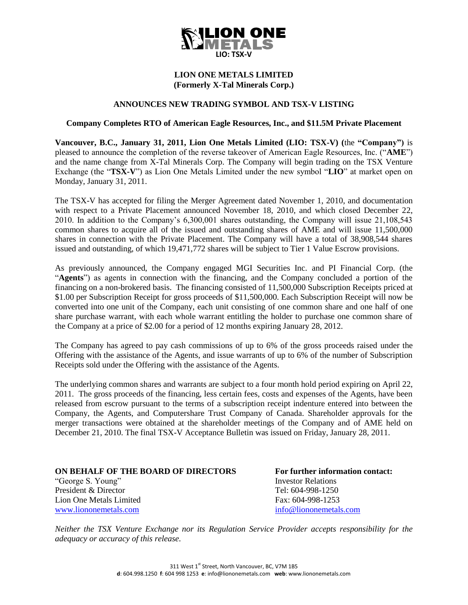

## **LION ONE METALS LIMITED (Formerly X-Tal Minerals Corp.)**

## **ANNOUNCES NEW TRADING SYMBOL AND TSX-V LISTING**

## **Company Completes RTO of American Eagle Resources, Inc., and \$11.5M Private Placement**

**Vancouver, B.C., January 31, 2011, Lion One Metals Limited (LIO: TSX-V) (**the **"Company")** is pleased to announce the completion of the reverse takeover of American Eagle Resources, Inc. ("**AME**") and the name change from X-Tal Minerals Corp. The Company will begin trading on the TSX Venture Exchange (the "**TSX-V**") as Lion One Metals Limited under the new symbol "**LIO**" at market open on Monday, January 31, 2011.

The TSX-V has accepted for filing the Merger Agreement dated November 1, 2010, and documentation with respect to a Private Placement announced November 18, 2010, and which closed December 22, 2010. In addition to the Company's 6,300,001 shares outstanding, the Company will issue 21,108,543 common shares to acquire all of the issued and outstanding shares of AME and will issue 11,500,000 shares in connection with the Private Placement. The Company will have a total of 38,908,544 shares issued and outstanding, of which 19,471,772 shares will be subject to Tier 1 Value Escrow provisions.

As previously announced, the Company engaged MGI Securities Inc. and PI Financial Corp. (the "**Agents**") as agents in connection with the financing, and the Company concluded a portion of the financing on a non-brokered basis. The financing consisted of 11,500,000 Subscription Receipts priced at \$1.00 per Subscription Receipt for gross proceeds of \$11,500,000. Each Subscription Receipt will now be converted into one unit of the Company, each unit consisting of one common share and one half of one share purchase warrant, with each whole warrant entitling the holder to purchase one common share of the Company at a price of \$2.00 for a period of 12 months expiring January 28, 2012.

The Company has agreed to pay cash commissions of up to 6% of the gross proceeds raised under the Offering with the assistance of the Agents, and issue warrants of up to 6% of the number of Subscription Receipts sold under the Offering with the assistance of the Agents.

The underlying common shares and warrants are subject to a four month hold period expiring on April 22, 2011. The gross proceeds of the financing, less certain fees, costs and expenses of the Agents, have been released from escrow pursuant to the terms of a subscription receipt indenture entered into between the Company, the Agents, and Computershare Trust Company of Canada. Shareholder approvals for the merger transactions were obtained at the shareholder meetings of the Company and of AME held on December 21, 2010. The final TSX-V Acceptance Bulletin was issued on Friday, January 28, 2011.

| ON BEHALF OF THE BOARD OF DIRECTORS |
|-------------------------------------|
| "George S. Young"                   |
| President & Director                |
| Lion One Metals Limited             |
| www liononemetals com               |

**For further information contact: Investor Relations** Tel: 604-998-1250 Fax: 604-998-1253 info@liononemetals.com

*Neither the TSX Venture Exchange nor its Regulation Service Provider accepts responsibility for the adequacy or accuracy of this release.*